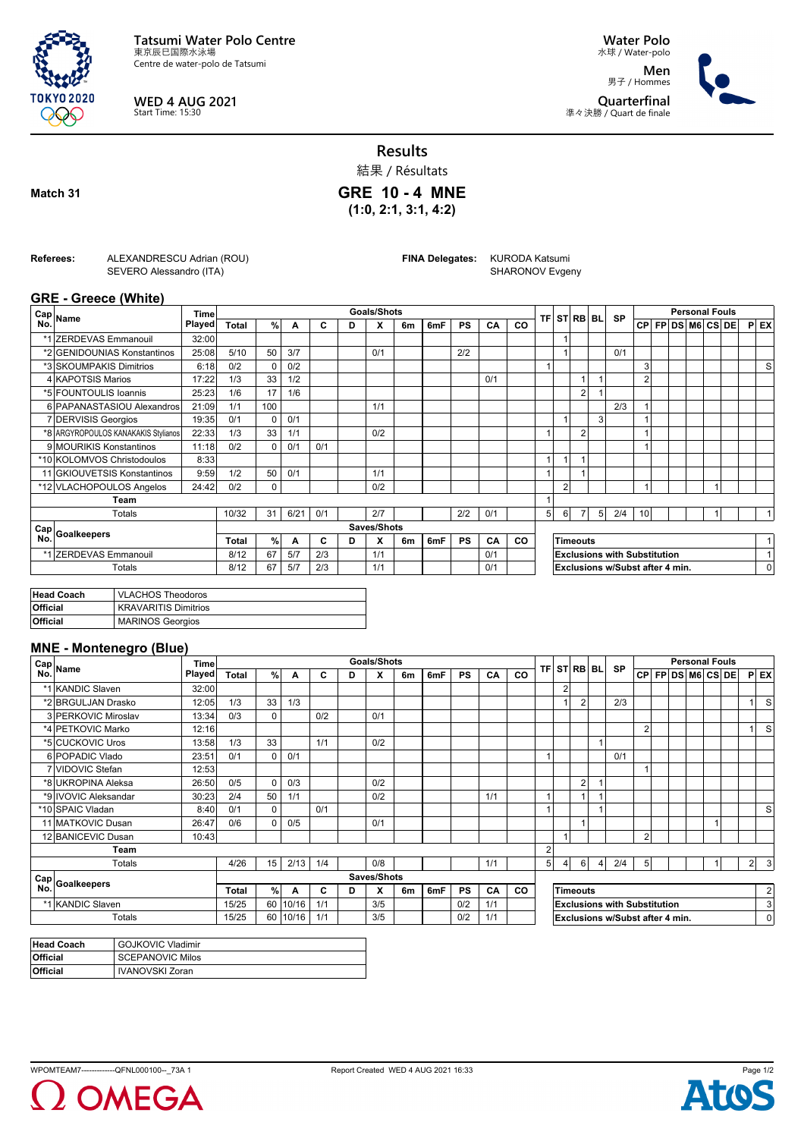

**WED 4 AUG 2021** Start Time: 15:30

**Water Polo** 水球 / Water-polo

**Men** 男子 / Hommes **Quarterfinal** 準々決勝 / Quart de finale



**Results**

結果 / Résultats

**Match 31**

**GRE 10 - 4 MNE (1:0, 2:1, 3:1, 4:2)**

**Referees:** ALEXANDRESCU Adrian (ROU)

SEVERO Alessandro (ITA)

**FINA Delegates:** KURODA Katsumi

SHARONOV Evgeny

## **GRE - Greece (White)**

|     | ∈Cap  <sub>Name</sub>               | <b>Time</b>   |              |          |      |     |   | <b>Goals/Shots</b> |    |     |           |     |                                     |                                 |                | <b>TFI STIRBI BLI</b> |                | <b>SP</b> |    | <b>Personal Fouls</b> |  |                   |  |  |  |            |
|-----|-------------------------------------|---------------|--------------|----------|------|-----|---|--------------------|----|-----|-----------|-----|-------------------------------------|---------------------------------|----------------|-----------------------|----------------|-----------|----|-----------------------|--|-------------------|--|--|--|------------|
| No. |                                     | <b>Played</b> | <b>Total</b> | %        | А    | C   | D | X                  | 6m | 6mF | <b>PS</b> | CA  | CO                                  |                                 |                |                       |                |           |    |                       |  | CP FP DS M6 CS DE |  |  |  | <b>PEX</b> |
|     | *1 ZERDEVAS Emmanouil               | 32:00         |              |          |      |     |   |                    |    |     |           |     |                                     |                                 |                |                       |                |           |    |                       |  |                   |  |  |  |            |
|     | *2 GENIDOUNIAS Konstantinos         | 25:08         | 5/10         | 50       | 3/7  |     |   | 0/1                |    |     | 2/2       |     |                                     |                                 |                |                       |                | 0/1       |    |                       |  |                   |  |  |  |            |
|     | *3 SKOUMPAKIS Dimitrios             | 6:18          | 0/2          | 0        | 0/2  |     |   |                    |    |     |           |     |                                     | $\overline{\phantom{a}}$        |                |                       |                |           | 3  |                       |  |                   |  |  |  | S          |
|     | 4 KAPOTSIS Marios                   | 17:22         | 1/3          | 33       | 1/2  |     |   |                    |    |     |           | 0/1 |                                     |                                 |                |                       |                |           | 2  |                       |  |                   |  |  |  |            |
|     | *5 FOUNTOULIS Ioannis               | 25:23         | 1/6          | 17       | 1/6  |     |   |                    |    |     |           |     |                                     |                                 |                | $\overline{2}$        |                |           |    |                       |  |                   |  |  |  |            |
|     | 6 PAPANASTASIOU Alexandros          | 21:09         | 1/1          | 100      |      |     |   | 1/1                |    |     |           |     |                                     |                                 |                |                       |                | 2/3       |    |                       |  |                   |  |  |  |            |
|     | 7 DERVISIS Georgios                 | 19:35         | 0/1          | $\Omega$ | 0/1  |     |   |                    |    |     |           |     |                                     |                                 |                |                       | $\overline{3}$ |           |    |                       |  |                   |  |  |  |            |
|     | *8 ARGYROPOULOS KANAKAKIS Stylianos | 22:33         | 1/3          | 33       | 1/1  |     |   | 0/2                |    |     |           |     |                                     |                                 |                | $\overline{2}$        |                |           | H  |                       |  |                   |  |  |  |            |
|     | 9 MOURIKIS Konstantinos             | 11:18         | 0/2          | $\Omega$ | 0/1  | 0/1 |   |                    |    |     |           |     |                                     |                                 |                |                       |                |           | и  |                       |  |                   |  |  |  |            |
|     | *10 KOLOMVOS Christodoulos          | 8:33          |              |          |      |     |   |                    |    |     |           |     |                                     | $\overline{1}$                  |                |                       |                |           |    |                       |  |                   |  |  |  |            |
|     | 11 GKIOUVETSIS Konstantinos         | 9:59          | 1/2          | 50       | 0/1  |     |   | 1/1                |    |     |           |     |                                     |                                 |                |                       |                |           |    |                       |  |                   |  |  |  |            |
|     | *12 VLACHOPOULOS Angelos            | 24:42         | 0/2          | 0        |      |     |   | 0/2                |    |     |           |     |                                     |                                 | $\overline{2}$ |                       |                |           |    |                       |  |                   |  |  |  |            |
|     | Team                                |               |              |          |      |     |   |                    |    |     |           |     |                                     |                                 |                |                       |                |           |    |                       |  |                   |  |  |  |            |
|     | Totals                              |               | 10/32        | 31       | 6/21 | 0/1 |   | 2/7                |    |     | 2/2       | 0/1 |                                     | 5                               | 6              |                       | 5 <sup>1</sup> | 2/4       | 10 |                       |  |                   |  |  |  |            |
|     | Cap Goalkeepers                     |               |              |          |      |     |   | Saves/Shots        |    |     |           |     |                                     |                                 |                |                       |                |           |    |                       |  |                   |  |  |  |            |
|     |                                     |               | Total        | %        | A    | C   | D | X                  | 6m | 6mF | <b>PS</b> | CA  | <b>CO</b>                           |                                 |                | <b>Timeouts</b>       |                |           |    |                       |  |                   |  |  |  |            |
|     | *1 ZERDEVAS Emmanouil               |               | 8/12         | 67       | 5/7  | 2/3 |   | 1/1                |    |     |           | 0/1 | <b>Exclusions with Substitution</b> |                                 |                |                       |                |           |    |                       |  |                   |  |  |  |            |
|     | Totals                              |               | 8/12         | 67       | 5/7  | 2/3 |   | 1/1                |    |     |           | 0/1 |                                     | Exclusions w/Subst after 4 min. |                |                       |                |           | 0  |                       |  |                   |  |  |  |            |

| Head Coach      | <b>VLACHOS Theodoros</b>    |
|-----------------|-----------------------------|
| <b>Official</b> | <b>KRAVARITIS Dimitrios</b> |
| <b>Official</b> | <b>MARINOS Georgios</b>     |

## **MNE - Montenegro (Blue)**

| $m = m \cdot m \cdot m \cdot m$<br>Cap<br>No.<br>Name | Time          |              |          |       |     |   | <b>Goals/Shots</b> |    |     |           |     |           |                                          |   |                | STRB BL |           | <b>Personal Fouls</b> |  |  |                   |  |  |                |                         |
|-------------------------------------------------------|---------------|--------------|----------|-------|-----|---|--------------------|----|-----|-----------|-----|-----------|------------------------------------------|---|----------------|---------|-----------|-----------------------|--|--|-------------------|--|--|----------------|-------------------------|
|                                                       | <b>Played</b> | <b>Total</b> | %        | A     | C   | D | X                  | 6m | 6mF | <b>PS</b> | CA  | <b>CO</b> | <b>TFI</b>                               |   |                |         | <b>SP</b> |                       |  |  | CP FP DS M6 CS DE |  |  |                | $P$ EX                  |
| *1 KANDIC Slaven                                      | 32:00         |              |          |       |     |   |                    |    |     |           |     |           |                                          |   |                |         |           |                       |  |  |                   |  |  |                |                         |
| *2 BRGULJAN Drasko                                    | 12:05         | 1/3          | 33       | 1/3   |     |   |                    |    |     |           |     |           |                                          |   | $\overline{2}$ |         | 2/3       |                       |  |  |                   |  |  |                | <sub>S</sub>            |
| 3 PERKOVIC Miroslav                                   | 13:34         | 0/3          | $\Omega$ |       | 0/2 |   | 0/1                |    |     |           |     |           |                                          |   |                |         |           |                       |  |  |                   |  |  |                |                         |
| *4 PETKOVIC Marko                                     | 12:16         |              |          |       |     |   |                    |    |     |           |     |           |                                          |   |                |         |           | $\overline{2}$        |  |  |                   |  |  |                | <sub>S</sub>            |
| *5 CUCKOVIC Uros                                      | 13:58         | 1/3          | 33       |       | 1/1 |   | 0/2                |    |     |           |     |           |                                          |   |                |         |           |                       |  |  |                   |  |  |                |                         |
| 6 POPADIC Vlado                                       | 23:51         | 0/1          | $\Omega$ | 0/1   |     |   |                    |    |     |           |     |           | 1                                        |   |                |         | 0/1       |                       |  |  |                   |  |  |                |                         |
| 7 VIDOVIC Stefan                                      | 12:53         |              |          |       |     |   |                    |    |     |           |     |           |                                          |   |                |         |           |                       |  |  |                   |  |  |                |                         |
| *8 UKROPINA Aleksa                                    | 26:50         | 0/5          | $\Omega$ | 0/3   |     |   | 0/2                |    |     |           |     |           |                                          |   | $\overline{2}$ |         |           |                       |  |  |                   |  |  |                |                         |
| *9 IVOVIC Aleksandar                                  | 30:23         | 2/4          | 50       | 1/1   |     |   | 0/2                |    |     |           | 1/1 |           | 1                                        |   | 1              |         |           |                       |  |  |                   |  |  |                |                         |
| *10 SPAIC Vladan                                      | 8:40          | 0/1          | 0        |       | 0/1 |   |                    |    |     |           |     |           | 1                                        |   |                |         |           |                       |  |  |                   |  |  |                | S                       |
| 11 MATKOVIC Dusan                                     | 26:47         | 0/6          | $\Omega$ | 0/5   |     |   | 0/1                |    |     |           |     |           |                                          |   |                |         |           |                       |  |  |                   |  |  |                |                         |
| 12 BANICEVIC Dusan                                    | 10:43         |              |          |       |     |   |                    |    |     |           |     |           |                                          |   |                |         |           | $\overline{2}$        |  |  |                   |  |  |                |                         |
| Team                                                  |               |              |          |       |     |   |                    |    |     |           |     |           | $\overline{2}$                           |   |                |         |           |                       |  |  |                   |  |  |                |                         |
| Totals                                                |               | 4/26         | 15       | 2/13  | 1/4 |   | 0/8                |    |     |           | 1/1 |           | 5 <sup>1</sup>                           | 4 | 6              | 4       | 2/4       | 5 <sup>1</sup>        |  |  |                   |  |  | 2 <sup>1</sup> | $\overline{\mathbf{3}}$ |
|                                                       |               |              |          |       |     |   | Saves/Shots        |    |     |           |     |           |                                          |   |                |         |           |                       |  |  |                   |  |  |                |                         |
| $ \frac{\text{Cap}}{\text{Lie}} $ Goalkeepers         |               | Total        | $\%$     | A     | C   | D | X                  | 6m | 6mF | <b>PS</b> | CA  | CO        |                                          |   | Timeouts       |         |           |                       |  |  |                   |  |  |                | $\overline{2}$          |
| *1 KANDIC Slaven                                      |               |              | 60       | 10/16 | 1/1 |   | 3/5                |    |     | 0/2       | 1/1 |           | 3<br><b>Exclusions with Substitution</b> |   |                |         |           |                       |  |  |                   |  |  |                |                         |
| Totals                                                |               | 15/25        | 60       | 10/16 | 1/1 |   | 3/5                |    |     | 0/2       | 1/1 |           | Exclusions w/Subst after 4 min.          |   |                |         | 0         |                       |  |  |                   |  |  |                |                         |

| <b>Head Coach</b> | <b>GOJKOVIC Vladimir</b> |
|-------------------|--------------------------|
| <b>Official</b>   | <b>SCEPANOVIC Milos</b>  |
| <b>Official</b>   | <b>IVANOVSKI Zoran</b>   |